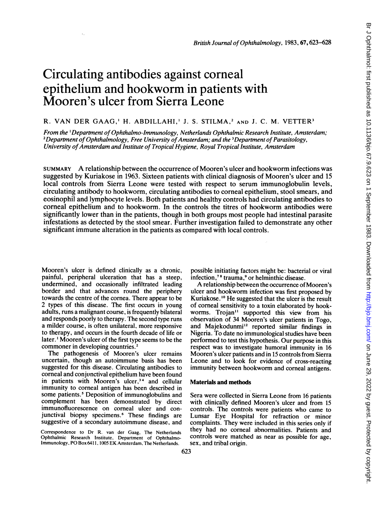# Circulating antibodies against corneal epithelium and hookworm in patients with Mooren's ulcer from Sierra Leone

## R. VAN DER GAAG,<sup>1</sup> H. ABDILLAHI,<sup>1</sup> J. S. STILMA,<sup>2</sup> AND J. C. M. VETTER<sup>3</sup>

From the 'Departnent of Ophthalmo-Immunology, Netherlands Ophthalmic Research Institute, Amsterdam; <sup>2</sup>Department of Ophthalmology, Free University of Amsterdam; and the <sup>3</sup>Department of Parasitology, University of Amsterdam and Institute of Tropical Hygiene, Royal Tropical Institute, Amsterdam

SUMMARY A relationship between the occurrence of Mooren's ulcer and hookworm infections was suggested by Kuriakose in 1963. Sixteen patients with clinical diagnosis of Mooren's ulcer and 15 local controls from Sierra Leone were tested with respect to serum immunoglobulin levels, circulating antibody to hookworm, circulating antibodies to corneal epithelium, stool smears, and eosinophil and lymphocyte levels. Both patients and healthy controls had circulating antibodies to comeal epithelium and to hookworm. In the controls the titres of hookworm antibodies were significantly lower than in the patients, though in both groups most people had intestinal parasite infestations as detected by the stool smear. Further investigation failed to demonstrate any other significant immune alteration in the patients as compared with local controls.

Mooren's ulcer is defined clinically as a chronic, painful, peripheral ulceration that has a steep, undermined, and occasionally infiltrated leading border and that advances round the periphery towards the centre of the cornea. There appear to be 2 types of this disease. The first occurs in young adults, runs a malignant course, is frequently bilateral and responds poorly to therapy. The second type runs a milder course, is often unilateral, more responsive to therapy, and occurs in the fourth decade of life or later.<sup>1</sup> Mooren's ulcer of the first type seems to be the commoner in developing countries.<sup>2</sup>

The pathogenesis of Mooren's ulcer remains uncertain, though an autoimmune basis has been suggested for this disease. Circulating antibodies to corneal and conjunctival epithelium have been found in patients with Mooren's ulcer,<sup>34</sup> and cellular immunity to corneal antigen has been described in some patients.<sup>5</sup> Deposition of immunoglobulins and complement has been demonstrated by direct immunofluorescence on corneal ulcer and conjunctival biopsy specimens.<sup>6</sup> These findings are suggestive of a secondary autoimmune disease, and

Correspondence to Dr R. van der Gaag, The Netherlands Ophthalmic Research Institute, Department of Ophthalmo-Immunology, PO Box 6411, <sup>1005</sup> EK Amsterdam, The Netherlands.

possible initiating factors might be: bacterial or viral infection,<sup>78</sup> trauma,<sup>9</sup> or helminthic disease.

A relationship between the occurrence of Mooren's ulcer and hookworm infection was first proposed by Kuriakose.'0 He suggested that the ulcer is the result of corneal sensitivity to a toxin elaborated by hookworms. Trojan<sup>11</sup> supported this view from his observation of 34 Mooren's ulcer patients in Togo, and Majekodunmi'2 reported similar findings in Nigeria. To date no immunological studies have been performed to test this hypothesis. Our purpose in this respect was to investigate humoral immunity in 16 Mooren's ulcer patients and in 15 controls from Sierra Leone and to look for evidence of cross-reacting immunity between hookworm and comeal antigens.

### Materials and methods

Sera were collected in Sierra Leone from 16 patients with clinically defined Mooren's ulcer and from 15 controls. The controls were patients who came to Lunsar Eye Hospital for refraction or minor complaints. They were included in this series only if they had no comeal abnormalities. Patients and controls were matched as near as possible for age, sex, and tribal origin.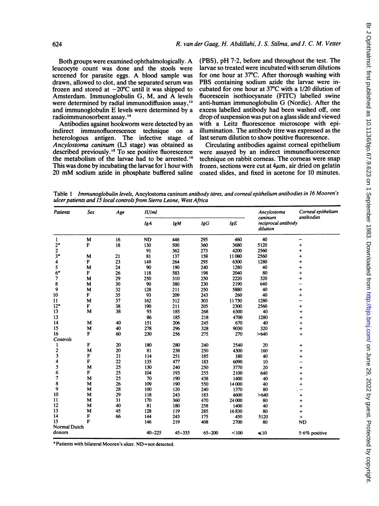Both groups were examined ophthalmologically. A leucocyte count was done and the stools were screened for parasite eggs. A blood sample was drawn, allowed to clot, and the separated serum was frozen and stored at  $-20^{\circ}$ C until it was shipped to Amsterdam. Immunoglobulin G, M, and A levels were determined by radial immunodiffusion assay.<sup>13</sup> and immunoglobulin E levels were determined by <sup>a</sup> radioimmunosorbent assay. <sup>14</sup>

Antibodies against hookworm were detected by an indirect immunofluorescence technique on a heterologous antigen. The infective stage of Ancylostoma caninum (L3 stage) was obtained as described previously.<sup>15</sup> To see positive fluorescence the metabolism of the larvae had to be arrested.'6 This was done by incubating the larvae for <sup>1</sup> hour with <sup>20</sup> mM sodium azide in phosphate buffered saline

(PBS), pH 7-2, before and throughout the test. The larvae so treated were incubated with serum dilutions for one hour at 37°C. After thorough washing with PBS containing sodium azide the larvae were incubated for one hour at 37°C with a 1/20 dilution of fluorescein isothiocyanate (FITC) labelled swine anti-human immunoglobulin G (Nordic). After the excess labelled antibody had been washed off, one drop of suspension was put on a glass slide and viewed with a Leitz fluorescence microscope with epiillumination. The antibody titre was expressed as the last serum dilution to show positive fluorescence.

Circulating antibodies against comeal epithelium were assayed by an indirect immunofluorescence technique on rabbit comeas. The comeas were snap frozen, sections were cut at  $4\mu$ m, air dried on gelatin coated slides, and fixed in acetone for 10 minutes.

Table <sup>1</sup> Immunoglobulin levels, Ancylostoma caninum antibody titres, and corneal epithelium antibodies in 16 Mooren's ulcer patients and 15 local controls from Sierra Leone, West Africa

| <b>Patients</b> | <b>Sex</b> | Age | IU/ml      |            |            | Ancylostoma<br>caninum | Corneal epithelium<br>antibodies |                  |
|-----------------|------------|-----|------------|------------|------------|------------------------|----------------------------------|------------------|
|                 |            |     | <b>IgA</b> | <b>IgM</b> | <b>IgG</b> | IgE                    | reciprocal antibody<br>dilution  |                  |
| 1               | M          | 16  | <b>ND</b>  | 446        | 295        | 460                    | 40                               | -                |
| $2^*$           | F          | 18  | 130        | 500        | 360        | 3680                   | 5120                             | $\ddot{}$        |
| 2               |            |     | 91         | 362        | 273        | 4200                   | 2560                             | $\ddot{}$        |
| $3*$            | M          | 21  | 81         | 137        | 158        | 11080                  | 2560                             | $\ddot{}$        |
| 4               | ۰F         | 23  | 149        | 264        | 295        | 6300                   | 1280                             | $\ddot{}$        |
| 5               | M          | 24  | 90         | 190        | 240        | 1280                   | 40                               | $\ddot{}$        |
| $6*$            | F          | 26  | 118        | 583        | 198        | 2040                   | 80                               | $+$              |
| 7               | M          | 29  | 250        | 310        | 250        | 2220                   | 320                              | $\ddot{}$        |
| 8               | M          | 30  | 90         | 380        | 230        | 2190                   | 640                              |                  |
| 9               | M          | 32  | 128        | 211        | 250        | 5880                   | 40                               | $\ddot{}$        |
| 10              | F          | 35  | 93         | 209        | 243        | 260                    | 40                               | $\ddot{}$        |
| $\mathbf{11}$   | M          | 37  | 162        | 312        | 303        | 11730                  | 1280                             |                  |
| $12*$           | F          | 38  | 190        | 211        | 205        | 2300                   | 2560                             | $\ddot{}$        |
| 13              | M          | 38  | 93         | 185        | 268        | 6300                   | 40                               | $\ddot{}$        |
| 13              |            |     | 86         | 185        | 218        | 4700                   | 1280                             | $\ddot{}$        |
| 14              | M          | 40  | 151        | 206        | 245        | 670                    | 40                               | $\ddot{}$        |
| 15              | M          | 40  | 278        | 296        | 328        | 9030                   | 320                              | $\ddot{}$        |
| 16              | F          | 60  | 230        | 256        | 275        | 270                    | >640                             | $\ddot{}$        |
| Controls        |            |     |            |            |            |                        |                                  |                  |
| 1               | F          | 20  | 180        | 280        | 240        | 2540                   | 20                               | +                |
| 2               | M          | 20  | 81         | 238        | 250        | 4300                   | 160                              | $\ddot{}$        |
| 3               | F          | 21  | 114        | 251        | 185        | 180                    | 40                               | $\ddot{}$        |
| 4               | F          | 22  | 135        | 477        | 183        | 6090                   | 10                               |                  |
| 5               | M          | 25  | 130        | 240        | 250        | 3770                   | 20                               | $\ddot{}$        |
| 6               | F          | 25  | 104        | 193        | 255        | 2100                   | 640                              | $\ddot{}$        |
| 7               | M          | 25  | 70         | 190        | 438        | 1400                   | 40                               | $\ddot{}$        |
| 8               | M          | 26  | 109        | 190        | 550        | 14000                  | 40                               | $\ddot{}$        |
| 9               | M          | 28  | 100        | 120        | 240        | 1370                   | 80                               |                  |
| 10              | M          | 29  | 118        | 243        | 183        | 4600                   | >640                             | $\ddot{}$        |
| 11              | M          | 31  | 170        | 360        | 470        | 24 000                 | 80                               | $\ddot{}$        |
| 12              | M          | 40  | 81         | 180        | 258        | 1400                   | 40                               | $\ddot{}$        |
| 13              | M          | 45  | 128        | 119        | 285        | 16830                  | 80                               | $\ddot{}$        |
| 14              | F          | 66  | 144        | 243        | 175        | 450                    | 5120                             | $+$              |
| 15              | F          |     | 146        | 219        | 408        | 2700                   | 80                               | <b>ND</b>        |
| Normal Dutch    |            |     |            |            |            |                        |                                  |                  |
| donors          |            |     | $40 - 225$ | $45 - 335$ | $65 - 200$ | < 100                  | $\leq 10$                        | $5.6\%$ positive |

\* Patients with bilateral Mooren's ulcer. ND=not detected.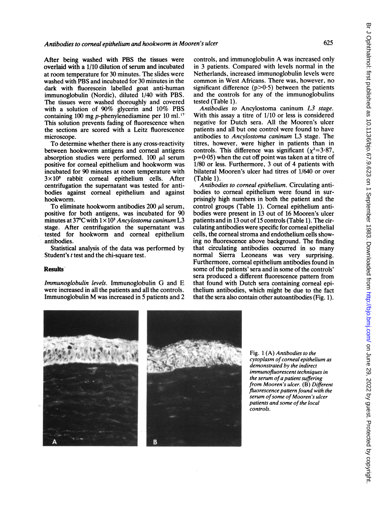After being washed with PBS the tissues were overlaid with a 1/10 dilution of serum and incubated at room temperature for 30 minutes. The slides were washed with PBS and incubated for 30 minutes in the dark with fluorescein labelled goat anti-human immunoglobulin (Nordic), diluted 1/40 with PBS. The tissues were washed thoroughly and covered with a solution of 90% glycerin and 10% PBS containing 100 mg p-phenylenediamine per 10 ml. $^{17}$ This solution prevents fading of fluorescence when the sections are scored with a Leitz fluorescence microscope.

To determine whether there is any cross-reactivity between hookworm antigens and comeal antigens absorption studies were performed.  $100 \mu l$  serum positive for corneal epithelium and hookworm was incubated for 90 minutes at room temperature with  $3 \times 10^5$  rabbit corneal epithelium cells. After centrifugation the supernatant was tested for antibodies against corneal epithelium and against hookworm.

To eliminate hookworm antibodies  $200 \mu l$  serum, positive for both antigens, was incubated for 90 minutes at 37°C with  $1 \times 10^3$  Ancylostoma caninum L3 stage. After centrifugation the supernatant was tested for hookworm and comeal epithelium antibodies.

Statistical analysis of the data was performed by Student's <sup>t</sup> test and the chi-square test.

#### Results

Immunoglobulin levels. Immunoglobulin G and E were increased in all the patients and all the controls. Immunoglobulin M was increased in <sup>5</sup> patients and <sup>2</sup> controls, and immunoglobulin A was increased only in 3 patients. Compared with levels normal in the Netherlands, increased immunoglobulin levels were common in West Africans. There was, however, no significant difference  $(p>0.5)$  between the patients and the controls for any of the immunoglobulins tested (Table 1).

Antibodies to Ancylostoma caninum L3 stage. With this assay a titre of 1/10 or less is considered negative for Dutch sera. All the Mooren's ulcer patients and all but one control were found to have antibodies to Ancylostoma caninum L3 stage. The titres, however, were higher in patients than in controls. This difference was significant ( $\chi^2$ =3.87,  $p=0.05$ ) when the cut off point was taken at a titre of 1/80 or less. Furthermore, 3 out of 4 patients with bilateral Mooren's ulcer had titres of 1/640 or over (Table 1).

Antibodies to corneal epithelium. Circulating antibodies to corneal epithelium were found in surprisingly high numbers in both the patient and the control groups (Table 1). Corneal epithelium antibodies were present in 13 out of 16 Mooren's ulcer patients and in 13 out of 15 controls (Table 1). The circulating antibodies were specific for corneal epithelial cells, the comeal stroma and endothelium cells showing no fluorescence above background. The finding that circulating antibodies occurred in so many normal Sierra Leoneans was very surprising. Furthermore, corneal epithelium antibodies found in some of the patients' sera and in some of the controls' sera produced a different fluorescence pattern from that found with Dutch sera containing comeal epithelium antibodies, which might be due to the fact that the sera also contain other autoantibodies (Fig. 1).





Fig. 1 (A) Antibodies to the cytoplasm of corneal epithelium as demonstrated by the indirect immunofluorescent techniques in the serum of a patient suffering from Mooren's ulcer. (B) Different fluorescence pattern found with the serum of some of Mooren's ulcer patients and some of the local controls.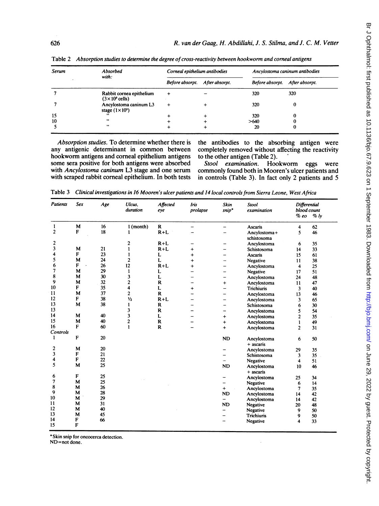| Serum | Absorbed<br>with:                                           | Corneal epithelium antibodies  | Ancylostoma caninum antibodies |     |  |
|-------|-------------------------------------------------------------|--------------------------------|--------------------------------|-----|--|
|       |                                                             | Before absorpt. After absorpt. | Before absorpt. After absorpt. |     |  |
|       | Rabbit cornea epithelium<br>$(3 \times 10^5 \text{ cells})$ |                                | 320                            | 320 |  |
|       | Ancylostoma caninum L3<br>stage $(1 \times 10^3)$           |                                | 320                            |     |  |
| 15    |                                                             |                                | 320                            |     |  |
| 10    | $, \, \,$                                                   |                                | >640                           |     |  |
|       | ,,                                                          |                                | 20                             |     |  |

Table 2 Absorption studies to determine the degree of cross-reactivity between hookworm and corneal antigens

Absorption studies. To determine whether there is the antibodies to the absorbing antigen were any antigenic determinant in common between completely removed without affecting the reactivity hookworm antigens and corneal epithelium antigens to the other antigen (Table 2).<br>some sera positive for both antigens were absorbed Stool examination. Hookworm some sera positive for both antigens were absorbed Stool examination. Hookworm eggs were<br>with Ancylostoma caninum L3 stage and one serum commonly found both in Mooren's ulcer patients and with Ancylostoma caninum L3 stage and one serum commonly found both in Mooren's ulcer patients and with scraped rabbit corneal epithelium. In both tests in controls (Table 3). In fact only 2 patients and 5

completely removed without affecting the reactivity to the other antigen (Table 2).

in controls (Table 3). In fact only 2 patients and 5

| <b>Patients</b> | Sex | Age | Ulcus,<br>duration      | Affected<br>eye | Iris<br>prolapse | <b>Skin</b><br>$snip^*$ | <b>Stool</b><br>examination | <b>Differential</b><br>blood count<br>$\%$ ly<br>$%$ eo |    |
|-----------------|-----|-----|-------------------------|-----------------|------------------|-------------------------|-----------------------------|---------------------------------------------------------|----|
|                 |     |     |                         |                 |                  |                         |                             |                                                         |    |
| 1               | M   | 16  | 1 (month)               | $\mathbf R$     |                  |                         | Ascaris                     | 4                                                       | 62 |
| $\overline{2}$  | F   | 18  |                         | $R+L$           |                  |                         | Ancylostoma+<br>schistosoma | 5                                                       | 46 |
| 2               |     |     | 2                       | $R+L$           |                  |                         | Ancylostoma                 | 6                                                       | 35 |
| 3               | M   | 21  | 1                       | $R+L$           | $\ddot{}$        |                         | Schistosoma                 | 14                                                      | 33 |
| 4               | F   | 23  | 1                       | L               | $\ddot{}$        |                         | <b>Ascaris</b>              | 15                                                      | 61 |
| 5               | M   | 24  | $\overline{c}$          | L               | $\ddot{}$        |                         | Negative                    | 11                                                      | 38 |
| 6               | F   | 26  | 12                      | $R+L$           | $\ddot{}$        |                         | Ancylostoma                 | 4                                                       | 25 |
| 7               | M   | 29  | 1                       | L               |                  |                         | Negative                    | 17                                                      | 51 |
| 8               | M   | 30  | 3                       | L               |                  |                         | Ancylostoma                 | 24                                                      | 48 |
| 9               | M   | 32  | $\overline{\mathbf{c}}$ | $\mathbf R$     |                  | $\ddot{}$               | Ancylostoma                 | 11                                                      | 47 |
| 10              | F   | 35  | 4                       | L               | $\ddot{}$        | $\equiv$                | Trichiuris                  | 3                                                       | 40 |
| 11              | M   | 37  | $\overline{c}$          | $\mathbf R$     |                  |                         | Ancylostoma                 | 13                                                      | 46 |
| 12              | F   | 38  | $\frac{1}{2}$           | $R+L$           |                  |                         | Ancylostoma                 | 3                                                       | 65 |
| 13              | M   | 38  | $\mathbf{1}$            | $\mathbf R$     |                  |                         | Schistosoma                 | 6                                                       | 30 |
| 13              |     |     | 3                       | $\mathbf R$     |                  |                         | Ancylostoma                 | 5                                                       | 54 |
| 14              | M   | 40  | 3                       | L               |                  | $\ddot{}$               | Ancylostoma                 | $\overline{2}$                                          | 35 |
| 15              | M   | 40  | $\overline{c}$          | $\mathbf R$     |                  | $\ddot{}$               | Ancylostoma                 |                                                         | 49 |
| 16              | F   | 60  | $\mathbf{1}$            | $\mathbf R$     |                  | $\ddot{}$               | Ancylostoma                 | $\overline{c}$                                          | 31 |
| Controls        |     |     |                         |                 |                  |                         |                             |                                                         |    |
| 1               | F   | 20  |                         |                 |                  | <b>ND</b>               | Ancylostoma<br>+ ascaris    | 6                                                       | 50 |
| 2               | M   | 20  |                         |                 |                  |                         | Ancylostoma                 | 29                                                      | 35 |
| 3               | F   | 21  |                         |                 |                  |                         | Schistosoma                 | 3                                                       | 35 |
| 4               | F   | 22  |                         |                 |                  |                         | Negative                    | 4                                                       | 51 |
| 5               | M   | 25  |                         |                 |                  | <b>ND</b>               | Ancylostoma<br>+ ascaris    | 10                                                      | 46 |
| 6               | F   | 25  |                         |                 |                  |                         | Ancylostoma                 | 25                                                      | 34 |
| 7               | M   | 25  |                         |                 |                  |                         | <b>Negative</b>             | 6                                                       | 14 |
| 8               | M   | 26  |                         |                 |                  | $^{+}$                  | Ancylostoma                 | 7                                                       | 35 |
| 9               | M   | 28  |                         |                 |                  | <b>ND</b>               | Ancylostoma                 | 14                                                      | 42 |
| 10              | M   | 29  |                         |                 |                  | -                       | Ancylostoma                 | 14                                                      | 42 |
| 11              | M   | 31  |                         |                 |                  | <b>ND</b>               | Negative                    | 20                                                      | 48 |
| 12              | M   | 40  |                         |                 |                  |                         | Negative                    | 9                                                       | 50 |
| 13              | M   | 45  |                         |                 |                  |                         | <b>Trichiuris</b>           | 9                                                       | 50 |
| 14              | F   | 66  |                         |                 |                  |                         | Negative                    | 4                                                       | 33 |
| 15              | F   |     |                         |                 |                  |                         |                             |                                                         |    |

Table <sup>3</sup> Clinical investigations in16 Mooren's ulcer patients and14 local controls from Sierra Leone, West Africa

\* Skin snip for oncocerca detection.

ND=not done.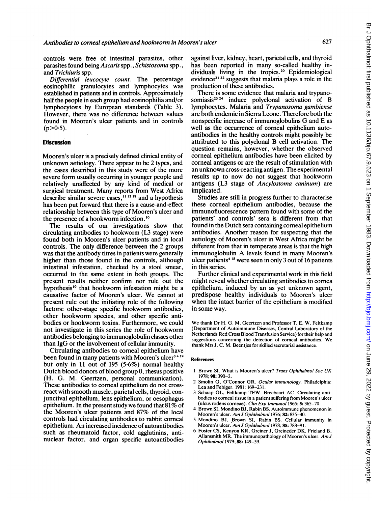controls were free of intestinal parasites, other parasites found being Ascaris spp., Schistosoma spp., and Trichiuris spp.

Differential leucocyte count. The percentage eosinophilic granulocytes and lymphocytes was established in patients and in controls. Approximately half the people in each group had eosinophilia and/or lymphocytosis by European standards (Table 3). However, there was no difference between values found in Mooren's ulcer patients and in controls  $(p>0.5)$ .

#### **Discussion**

Mooren's ulcer is a precisely defined clinical entity of unknown aetiology. There appear to be 2 types, and the cases described in this study were of the more severe form usually occurring in younger people and relatively unaffected by any kind of medical or surgical treatment. Many reports from West Africa describe similar severe cases,<sup>11 1218</sup> and a hypothesis has been put forward that there is a cause-and-effect relationship between this type of Mooren's ulcer and the presence of a hookworm infection.'0

The results of our investigations show that circulating antibodies to hookworm (L3 stage) were found both in Mooren's ulcer patients and in local controls. The only difference between the 2 groups was that the antibody titres in patients were generally higher than those found in the controls, although intestinal infestation, checked by a stool smear, occurred to the same extent in both groups. The present results neither confirm nor rule out the hypothesis<sup>10</sup> that hookworm infestation might be a causative factor of Mooren's ulcer. We cannot at present rule out the initiating role of the following factors: other-stage specific hookworm antibodies, other hookworm species, and other specific antibodies or hookworm toxins. Furthermore, we could not investigate in this series the role of hookworm antibodies belonging to immunoglobulin classes other than IgG or the involvement of cellular immunity.

Circulating antibodies to corneal epithelium have been found in many patients with Mooren's ulcer<sup>3419</sup> but only in 11 out of 195 (5.6%) normal healthy Dutch blood donors of blood group 0, rhesus positive (H. G. M. Geertzen, personal communication). These antibodies to corneal epithelium do not crossreact with smooth muscle, parietal cells, thyroid, conjunctival epithelium, lens epithelium, or oesophagus epithelium. In the present study we found that 81% of the Mooren's ulcer patients and 87% of the local controls had circulating antibodies to rabbit corneal epithelium. An increased incidence of autoantibodies such as rheumatoid factor, cold agglutinins, antinuclear factor, and organ specific autoantibodies against liver, kidney, heart, parietal cells, and thyroid has been reported in many so-called healthy individuals living in the tropics.<sup>20</sup> Epidemiological evidence<sup>21, 22</sup> suggests that malaria plays a role in the production of these antibodies.

There is some evidence that malaria and trypanosomiasis<sup>23</sup> <sup>24</sup> induce polyclonal activation of B lymphocytes. Malaria and Trypanosoma gambiense are both endemic in Sierra Leone. Therefore both the nonspecific increase of immunoglobulins G and E as well as the occurrence of corneal epithelium autoantibodies in the healthy controls might possibly be attributed to this polyclonal B cell activation. The question remains, however, whether the observed corneal epithelium antibodies have been elicited by comeal antigens or are the result of stimulation with an unknown cross-reacting antigen. The experimental results up to now do not suggest that hookworm antigens (L3 stage of Ancylostoma caninum) are implicated.

Studies are still in progress further to characterise these comeal epithelium antibodies, because the immunofluorescence pattern found with some of the patients' and controls' sera is different from that found in the Dutch sera containing comeal epithelium antibodies. Another reason for suspecting that the aetiology of Mooren's ulcer in West Africa might be different from that in temperate areas is that the high immunoglobulin A levels found in many Mooren's ulcer patients<sup>418</sup> were seen in only 3 out of 16 patients in this series.

Further clinical and experimental work in this field might reveal whether circulating antibodies to cornea epithelium, induced by an as yet unknown agent, predispose healthy individuals to Mooren's ulcer when the intact barrier of the epithelium is modified in some way.

We thank Dr H. G. M. Geertzen and Professor T. E. W. Feltkamp (Department of Autoimmune Diseases, Central Laboratory of the Netherlands Red Cross Blood Transfusion Service) for their help and suggestions concerning the detection of corneal antibodies. We thank Mrs J. C. M. Beentjes for skilled secretarial assistance.

#### References

- <sup>I</sup> Brown SI. What is Mooren's ulcer? Trans Ophthalmol Soc UK 1978; 98: 390-2.
- Smolin G, O'Connor GR. Ocular immunology. Philadelphia: Lea and Febiger. 1981: 169-231
- <sup>3</sup> Schaap OL, Feltkamp TEW, Breebaart AC. Circulating antibodies to corneal tissue in a patient suffering from Mooren's ulcer (ulcus rodens corneae). Clin Exp Immunol 1965; 5: 365-70.
- 4 Brown SI, Mondino BJ, Rabin BS. Autoimmune phenomenon in Mooren's ulcer. Am J Ophthalmol 1976; 82: 835-40.
- 5 Mondino BJ, Brown SI, Rabin BS. Cellular immunity in Mooren's ulcer. Am J Ophthalmol 1978; 85: 788-91.
- 6 Foster CS, Kenyon KR, Greiner J, Greineder DK, Frieland B, Allansmith MR. The immunopathology of Mooren's ulcer. Am <sup>J</sup> Ophthalmol 1979; 88:149-59.